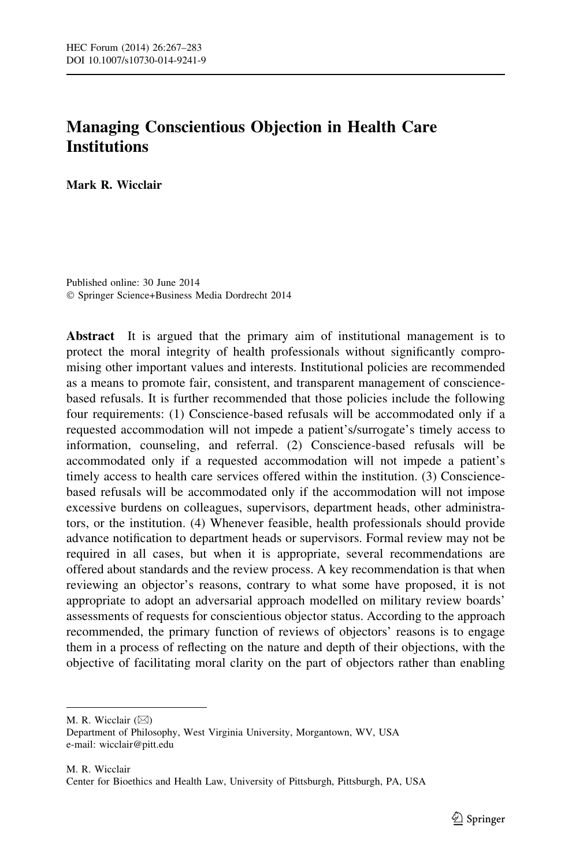# Managing Conscientious Objection in Health Care **Institutions**

Mark R. Wicclair

Published online: 30 June 2014 - Springer Science+Business Media Dordrecht 2014

Abstract It is argued that the primary aim of institutional management is to protect the moral integrity of health professionals without significantly compromising other important values and interests. Institutional policies are recommended as a means to promote fair, consistent, and transparent management of consciencebased refusals. It is further recommended that those policies include the following four requirements: (1) Conscience-based refusals will be accommodated only if a requested accommodation will not impede a patient's/surrogate's timely access to information, counseling, and referral. (2) Conscience-based refusals will be accommodated only if a requested accommodation will not impede a patient's timely access to health care services offered within the institution. (3) Consciencebased refusals will be accommodated only if the accommodation will not impose excessive burdens on colleagues, supervisors, department heads, other administrators, or the institution. (4) Whenever feasible, health professionals should provide advance notification to department heads or supervisors. Formal review may not be required in all cases, but when it is appropriate, several recommendations are offered about standards and the review process. A key recommendation is that when reviewing an objector's reasons, contrary to what some have proposed, it is not appropriate to adopt an adversarial approach modelled on military review boards' assessments of requests for conscientious objector status. According to the approach recommended, the primary function of reviews of objectors' reasons is to engage them in a process of reflecting on the nature and depth of their objections, with the objective of facilitating moral clarity on the part of objectors rather than enabling

M. R. Wicclair  $(\boxtimes)$ 

Department of Philosophy, West Virginia University, Morgantown, WV, USA e-mail: wicclair@pitt.edu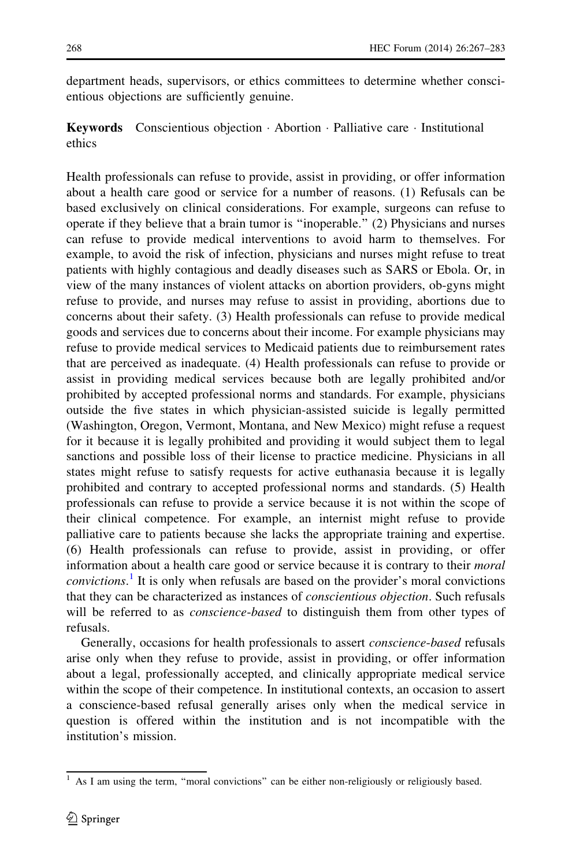department heads, supervisors, or ethics committees to determine whether conscientious objections are sufficiently genuine.

**Keywords** Conscientious objection  $\cdot$  Abortion  $\cdot$  Palliative care  $\cdot$  Institutional ethics

Health professionals can refuse to provide, assist in providing, or offer information about a health care good or service for a number of reasons. (1) Refusals can be based exclusively on clinical considerations. For example, surgeons can refuse to operate if they believe that a brain tumor is ''inoperable.'' (2) Physicians and nurses can refuse to provide medical interventions to avoid harm to themselves. For example, to avoid the risk of infection, physicians and nurses might refuse to treat patients with highly contagious and deadly diseases such as SARS or Ebola. Or, in view of the many instances of violent attacks on abortion providers, ob-gyns might refuse to provide, and nurses may refuse to assist in providing, abortions due to concerns about their safety. (3) Health professionals can refuse to provide medical goods and services due to concerns about their income. For example physicians may refuse to provide medical services to Medicaid patients due to reimbursement rates that are perceived as inadequate. (4) Health professionals can refuse to provide or assist in providing medical services because both are legally prohibited and/or prohibited by accepted professional norms and standards. For example, physicians outside the five states in which physician-assisted suicide is legally permitted (Washington, Oregon, Vermont, Montana, and New Mexico) might refuse a request for it because it is legally prohibited and providing it would subject them to legal sanctions and possible loss of their license to practice medicine. Physicians in all states might refuse to satisfy requests for active euthanasia because it is legally prohibited and contrary to accepted professional norms and standards. (5) Health professionals can refuse to provide a service because it is not within the scope of their clinical competence. For example, an internist might refuse to provide palliative care to patients because she lacks the appropriate training and expertise. (6) Health professionals can refuse to provide, assist in providing, or offer information about a health care good or service because it is contrary to their moral convictions. <sup>1</sup> It is only when refusals are based on the provider's moral convictions that they can be characterized as instances of *conscientious objection*. Such refusals will be referred to as *conscience-based* to distinguish them from other types of refusals.

Generally, occasions for health professionals to assert conscience-based refusals arise only when they refuse to provide, assist in providing, or offer information about a legal, professionally accepted, and clinically appropriate medical service within the scope of their competence. In institutional contexts, an occasion to assert a conscience-based refusal generally arises only when the medical service in question is offered within the institution and is not incompatible with the institution's mission.

<sup>&</sup>lt;sup>1</sup> As I am using the term, "moral convictions" can be either non-religiously or religiously based.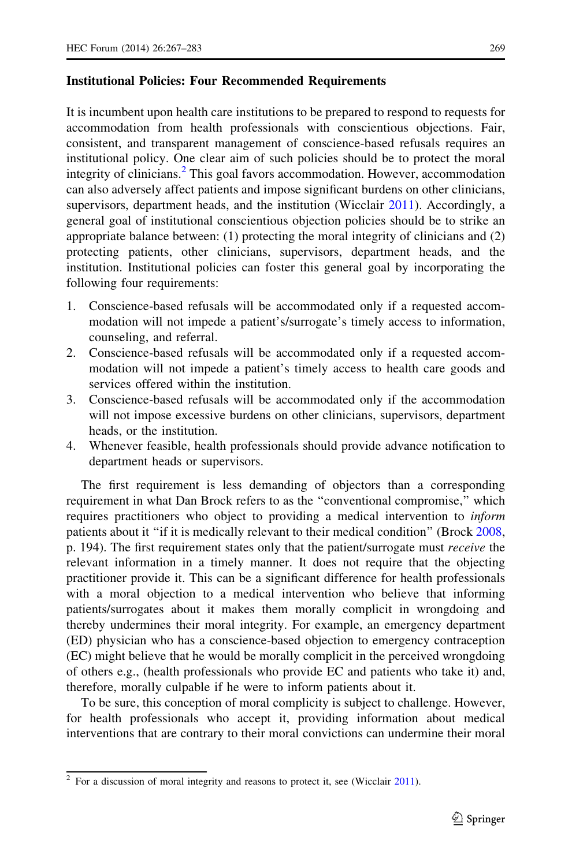It is incumbent upon health care institutions to be prepared to respond to requests for accommodation from health professionals with conscientious objections. Fair, consistent, and transparent management of conscience-based refusals requires an institutional policy. One clear aim of such policies should be to protect the moral integrity of clinicians.<sup>2</sup> This goal favors accommodation. However, accommodation can also adversely affect patients and impose significant burdens on other clinicians, supervisors, department heads, and the institution (Wicclair 2011). Accordingly, a general goal of institutional conscientious objection policies should be to strike an appropriate balance between: (1) protecting the moral integrity of clinicians and (2) protecting patients, other clinicians, supervisors, department heads, and the institution. Institutional policies can foster this general goal by incorporating the following four requirements:

- 1. Conscience-based refusals will be accommodated only if a requested accommodation will not impede a patient's/surrogate's timely access to information, counseling, and referral.
- 2. Conscience-based refusals will be accommodated only if a requested accommodation will not impede a patient's timely access to health care goods and services offered within the institution.
- 3. Conscience-based refusals will be accommodated only if the accommodation will not impose excessive burdens on other clinicians, supervisors, department heads, or the institution.
- 4. Whenever feasible, health professionals should provide advance notification to department heads or supervisors.

The first requirement is less demanding of objectors than a corresponding requirement in what Dan Brock refers to as the ''conventional compromise,'' which requires practitioners who object to providing a medical intervention to *inform* patients about it ''if it is medically relevant to their medical condition'' (Brock 2008, p. 194). The first requirement states only that the patient/surrogate must receive the relevant information in a timely manner. It does not require that the objecting practitioner provide it. This can be a significant difference for health professionals with a moral objection to a medical intervention who believe that informing patients/surrogates about it makes them morally complicit in wrongdoing and thereby undermines their moral integrity. For example, an emergency department (ED) physician who has a conscience-based objection to emergency contraception (EC) might believe that he would be morally complicit in the perceived wrongdoing of others e.g., (health professionals who provide EC and patients who take it) and, therefore, morally culpable if he were to inform patients about it.

To be sure, this conception of moral complicity is subject to challenge. However, for health professionals who accept it, providing information about medical interventions that are contrary to their moral convictions can undermine their moral

 $2^2$  For a discussion of moral integrity and reasons to protect it, see (Wicclair 2011).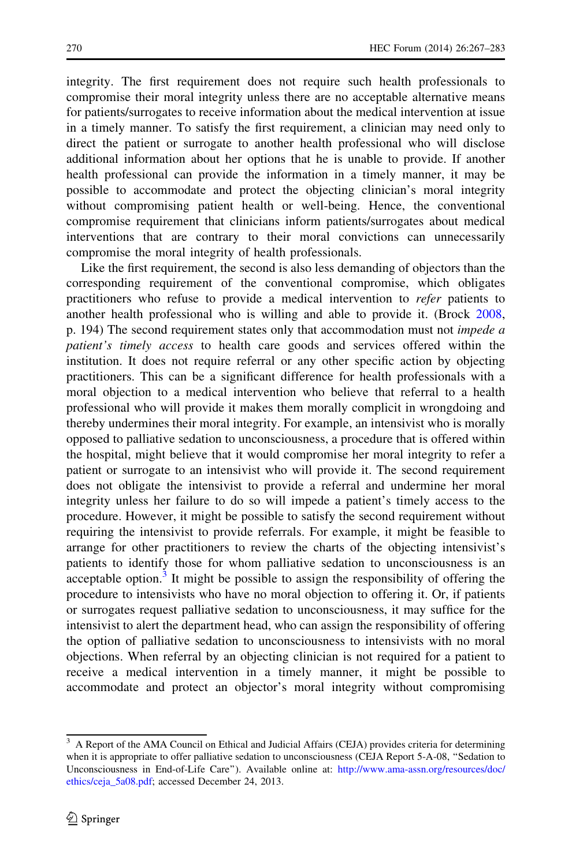integrity. The first requirement does not require such health professionals to compromise their moral integrity unless there are no acceptable alternative means for patients/surrogates to receive information about the medical intervention at issue in a timely manner. To satisfy the first requirement, a clinician may need only to direct the patient or surrogate to another health professional who will disclose additional information about her options that he is unable to provide. If another health professional can provide the information in a timely manner, it may be possible to accommodate and protect the objecting clinician's moral integrity without compromising patient health or well-being. Hence, the conventional compromise requirement that clinicians inform patients/surrogates about medical interventions that are contrary to their moral convictions can unnecessarily compromise the moral integrity of health professionals.

Like the first requirement, the second is also less demanding of objectors than the corresponding requirement of the conventional compromise, which obligates practitioners who refuse to provide a medical intervention to refer patients to another health professional who is willing and able to provide it. (Brock 2008, p. 194) The second requirement states only that accommodation must not *impede a* patient's timely access to health care goods and services offered within the institution. It does not require referral or any other specific action by objecting practitioners. This can be a significant difference for health professionals with a moral objection to a medical intervention who believe that referral to a health professional who will provide it makes them morally complicit in wrongdoing and thereby undermines their moral integrity. For example, an intensivist who is morally opposed to palliative sedation to unconsciousness, a procedure that is offered within the hospital, might believe that it would compromise her moral integrity to refer a patient or surrogate to an intensivist who will provide it. The second requirement does not obligate the intensivist to provide a referral and undermine her moral integrity unless her failure to do so will impede a patient's timely access to the procedure. However, it might be possible to satisfy the second requirement without requiring the intensivist to provide referrals. For example, it might be feasible to arrange for other practitioners to review the charts of the objecting intensivist's patients to identify those for whom palliative sedation to unconsciousness is an acceptable option.<sup>3</sup> It might be possible to assign the responsibility of offering the procedure to intensivists who have no moral objection to offering it. Or, if patients or surrogates request palliative sedation to unconsciousness, it may suffice for the intensivist to alert the department head, who can assign the responsibility of offering the option of palliative sedation to unconsciousness to intensivists with no moral objections. When referral by an objecting clinician is not required for a patient to receive a medical intervention in a timely manner, it might be possible to accommodate and protect an objector's moral integrity without compromising

<sup>3</sup> A Report of the AMA Council on Ethical and Judicial Affairs (CEJA) provides criteria for determining when it is appropriate to offer palliative sedation to unconsciousness (CEJA Report 5-A-08, ''Sedation to Unconsciousness in End-of-Life Care''). Available online at: http://www.ama-assn.org/resources/doc/ ethics/ceja\_5a08.pdf; accessed December 24, 2013.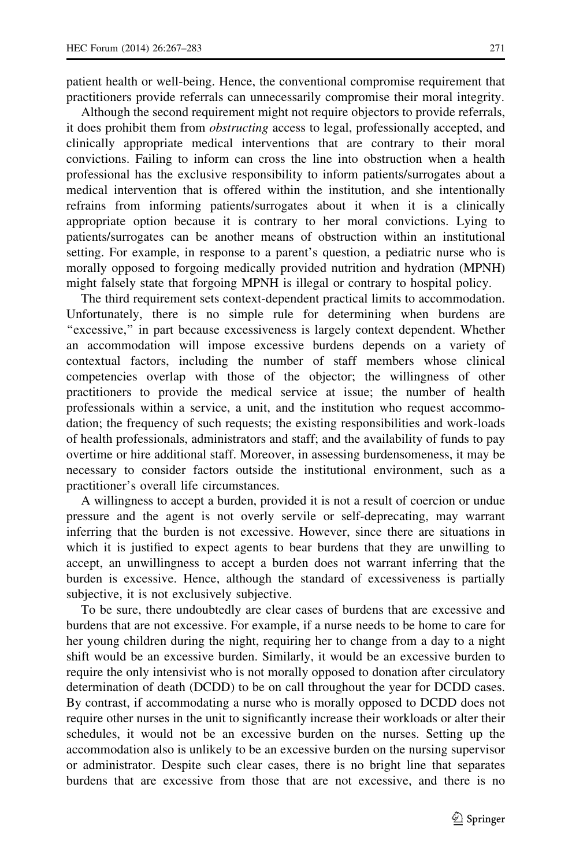patient health or well-being. Hence, the conventional compromise requirement that practitioners provide referrals can unnecessarily compromise their moral integrity.

Although the second requirement might not require objectors to provide referrals, it does prohibit them from obstructing access to legal, professionally accepted, and clinically appropriate medical interventions that are contrary to their moral convictions. Failing to inform can cross the line into obstruction when a health professional has the exclusive responsibility to inform patients/surrogates about a medical intervention that is offered within the institution, and she intentionally refrains from informing patients/surrogates about it when it is a clinically appropriate option because it is contrary to her moral convictions. Lying to patients/surrogates can be another means of obstruction within an institutional setting. For example, in response to a parent's question, a pediatric nurse who is morally opposed to forgoing medically provided nutrition and hydration (MPNH) might falsely state that forgoing MPNH is illegal or contrary to hospital policy.

The third requirement sets context-dependent practical limits to accommodation. Unfortunately, there is no simple rule for determining when burdens are ''excessive,'' in part because excessiveness is largely context dependent. Whether an accommodation will impose excessive burdens depends on a variety of contextual factors, including the number of staff members whose clinical competencies overlap with those of the objector; the willingness of other practitioners to provide the medical service at issue; the number of health professionals within a service, a unit, and the institution who request accommodation; the frequency of such requests; the existing responsibilities and work-loads of health professionals, administrators and staff; and the availability of funds to pay overtime or hire additional staff. Moreover, in assessing burdensomeness, it may be necessary to consider factors outside the institutional environment, such as a practitioner's overall life circumstances.

A willingness to accept a burden, provided it is not a result of coercion or undue pressure and the agent is not overly servile or self-deprecating, may warrant inferring that the burden is not excessive. However, since there are situations in which it is justified to expect agents to bear burdens that they are unwilling to accept, an unwillingness to accept a burden does not warrant inferring that the burden is excessive. Hence, although the standard of excessiveness is partially subjective, it is not exclusively subjective.

To be sure, there undoubtedly are clear cases of burdens that are excessive and burdens that are not excessive. For example, if a nurse needs to be home to care for her young children during the night, requiring her to change from a day to a night shift would be an excessive burden. Similarly, it would be an excessive burden to require the only intensivist who is not morally opposed to donation after circulatory determination of death (DCDD) to be on call throughout the year for DCDD cases. By contrast, if accommodating a nurse who is morally opposed to DCDD does not require other nurses in the unit to significantly increase their workloads or alter their schedules, it would not be an excessive burden on the nurses. Setting up the accommodation also is unlikely to be an excessive burden on the nursing supervisor or administrator. Despite such clear cases, there is no bright line that separates burdens that are excessive from those that are not excessive, and there is no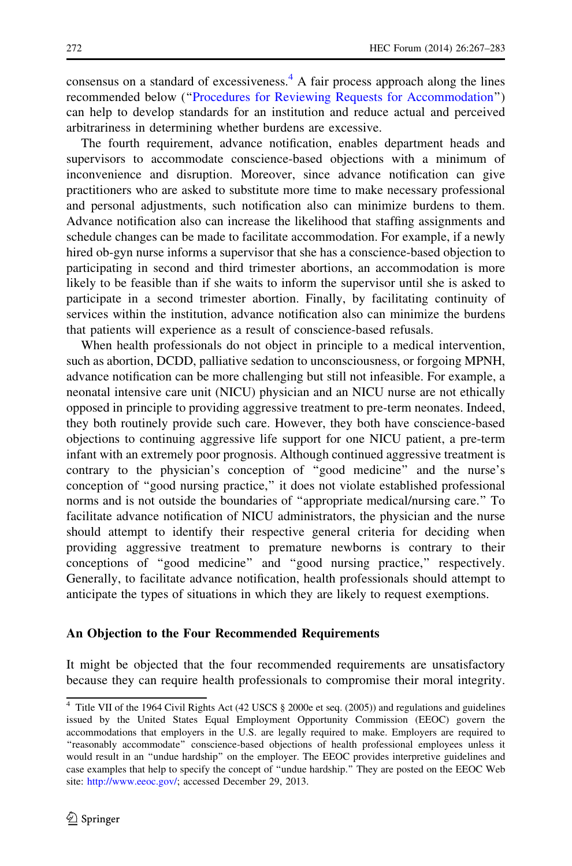consensus on a standard of excessiveness. $^{4}$  A fair process approach along the lines recommended below (''Procedures for Reviewing Requests for Accommodation'') can help to develop standards for an institution and reduce actual and perceived arbitrariness in determining whether burdens are excessive.

The fourth requirement, advance notification, enables department heads and supervisors to accommodate conscience-based objections with a minimum of inconvenience and disruption. Moreover, since advance notification can give practitioners who are asked to substitute more time to make necessary professional and personal adjustments, such notification also can minimize burdens to them. Advance notification also can increase the likelihood that staffing assignments and schedule changes can be made to facilitate accommodation. For example, if a newly hired ob-gyn nurse informs a supervisor that she has a conscience-based objection to participating in second and third trimester abortions, an accommodation is more likely to be feasible than if she waits to inform the supervisor until she is asked to participate in a second trimester abortion. Finally, by facilitating continuity of services within the institution, advance notification also can minimize the burdens that patients will experience as a result of conscience-based refusals.

When health professionals do not object in principle to a medical intervention, such as abortion, DCDD, palliative sedation to unconsciousness, or forgoing MPNH, advance notification can be more challenging but still not infeasible. For example, a neonatal intensive care unit (NICU) physician and an NICU nurse are not ethically opposed in principle to providing aggressive treatment to pre-term neonates. Indeed, they both routinely provide such care. However, they both have conscience-based objections to continuing aggressive life support for one NICU patient, a pre-term infant with an extremely poor prognosis. Although continued aggressive treatment is contrary to the physician's conception of ''good medicine'' and the nurse's conception of ''good nursing practice,'' it does not violate established professional norms and is not outside the boundaries of ''appropriate medical/nursing care.'' To facilitate advance notification of NICU administrators, the physician and the nurse should attempt to identify their respective general criteria for deciding when providing aggressive treatment to premature newborns is contrary to their conceptions of ''good medicine'' and ''good nursing practice,'' respectively. Generally, to facilitate advance notification, health professionals should attempt to anticipate the types of situations in which they are likely to request exemptions.

### An Objection to the Four Recommended Requirements

It might be objected that the four recommended requirements are unsatisfactory because they can require health professionals to compromise their moral integrity.

<sup>4</sup> Title VII of the 1964 Civil Rights Act (42 USCS § 2000e et seq. (2005)) and regulations and guidelines issued by the United States Equal Employment Opportunity Commission (EEOC) govern the accommodations that employers in the U.S. are legally required to make. Employers are required to ''reasonably accommodate'' conscience-based objections of health professional employees unless it would result in an ''undue hardship'' on the employer. The EEOC provides interpretive guidelines and case examples that help to specify the concept of ''undue hardship.'' They are posted on the EEOC Web site: http://www.eeoc.gov/; accessed December 29, 2013.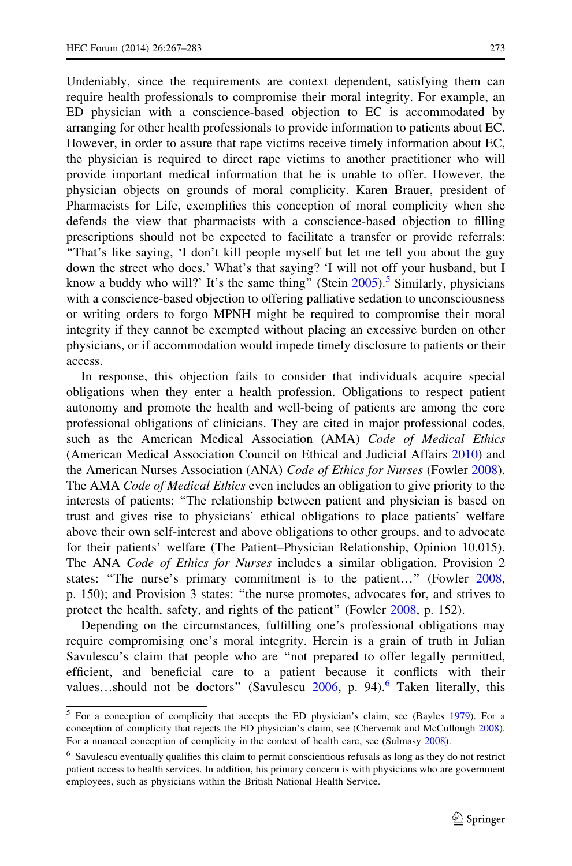Undeniably, since the requirements are context dependent, satisfying them can require health professionals to compromise their moral integrity. For example, an ED physician with a conscience-based objection to EC is accommodated by arranging for other health professionals to provide information to patients about EC. However, in order to assure that rape victims receive timely information about EC, the physician is required to direct rape victims to another practitioner who will provide important medical information that he is unable to offer. However, the physician objects on grounds of moral complicity. Karen Brauer, president of Pharmacists for Life, exemplifies this conception of moral complicity when she defends the view that pharmacists with a conscience-based objection to filling prescriptions should not be expected to facilitate a transfer or provide referrals: ''That's like saying, 'I don't kill people myself but let me tell you about the guy down the street who does.' What's that saying? 'I will not off your husband, but I know a buddy who will?' It's the same thing" (Stein  $2005$ ).<sup>5</sup> Similarly, physicians with a conscience-based objection to offering palliative sedation to unconsciousness or writing orders to forgo MPNH might be required to compromise their moral integrity if they cannot be exempted without placing an excessive burden on other physicians, or if accommodation would impede timely disclosure to patients or their access.

In response, this objection fails to consider that individuals acquire special obligations when they enter a health profession. Obligations to respect patient autonomy and promote the health and well-being of patients are among the core professional obligations of clinicians. They are cited in major professional codes, such as the American Medical Association (AMA) Code of Medical Ethics (American Medical Association Council on Ethical and Judicial Affairs 2010) and the American Nurses Association (ANA) Code of Ethics for Nurses (Fowler 2008). The AMA Code of Medical Ethics even includes an obligation to give priority to the interests of patients: ''The relationship between patient and physician is based on trust and gives rise to physicians' ethical obligations to place patients' welfare above their own self-interest and above obligations to other groups, and to advocate for their patients' welfare (The Patient–Physician Relationship, Opinion 10.015). The ANA Code of Ethics for Nurses includes a similar obligation. Provision 2 states: "The nurse's primary commitment is to the patient..." (Fowler 2008, p. 150); and Provision 3 states: ''the nurse promotes, advocates for, and strives to protect the health, safety, and rights of the patient'' (Fowler 2008, p. 152).

Depending on the circumstances, fulfilling one's professional obligations may require compromising one's moral integrity. Herein is a grain of truth in Julian Savulescu's claim that people who are ''not prepared to offer legally permitted, efficient, and beneficial care to a patient because it conflicts with their values...should not be doctors" (Savulescu  $2006$ , p. 94).<sup>6</sup> Taken literally, this

<sup>&</sup>lt;sup>5</sup> For a conception of complicity that accepts the ED physician's claim, see (Bayles 1979). For a conception of complicity that rejects the ED physician's claim, see (Chervenak and McCullough 2008). For a nuanced conception of complicity in the context of health care, see (Sulmasy 2008).

<sup>6</sup> Savulescu eventually qualifies this claim to permit conscientious refusals as long as they do not restrict patient access to health services. In addition, his primary concern is with physicians who are government employees, such as physicians within the British National Health Service.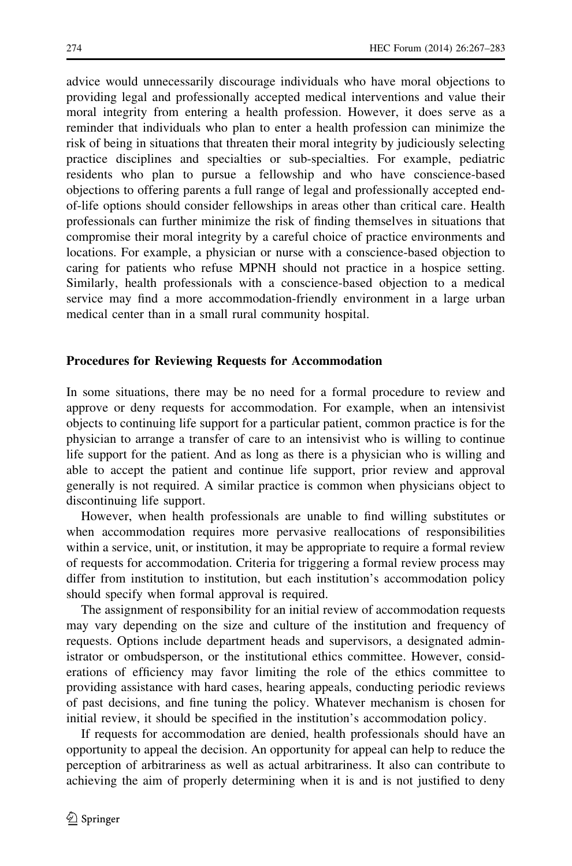advice would unnecessarily discourage individuals who have moral objections to providing legal and professionally accepted medical interventions and value their moral integrity from entering a health profession. However, it does serve as a reminder that individuals who plan to enter a health profession can minimize the risk of being in situations that threaten their moral integrity by judiciously selecting practice disciplines and specialties or sub-specialties. For example, pediatric residents who plan to pursue a fellowship and who have conscience-based objections to offering parents a full range of legal and professionally accepted endof-life options should consider fellowships in areas other than critical care. Health professionals can further minimize the risk of finding themselves in situations that compromise their moral integrity by a careful choice of practice environments and locations. For example, a physician or nurse with a conscience-based objection to caring for patients who refuse MPNH should not practice in a hospice setting. Similarly, health professionals with a conscience-based objection to a medical service may find a more accommodation-friendly environment in a large urban medical center than in a small rural community hospital.

### Procedures for Reviewing Requests for Accommodation

In some situations, there may be no need for a formal procedure to review and approve or deny requests for accommodation. For example, when an intensivist objects to continuing life support for a particular patient, common practice is for the physician to arrange a transfer of care to an intensivist who is willing to continue life support for the patient. And as long as there is a physician who is willing and able to accept the patient and continue life support, prior review and approval generally is not required. A similar practice is common when physicians object to discontinuing life support.

However, when health professionals are unable to find willing substitutes or when accommodation requires more pervasive reallocations of responsibilities within a service, unit, or institution, it may be appropriate to require a formal review of requests for accommodation. Criteria for triggering a formal review process may differ from institution to institution, but each institution's accommodation policy should specify when formal approval is required.

The assignment of responsibility for an initial review of accommodation requests may vary depending on the size and culture of the institution and frequency of requests. Options include department heads and supervisors, a designated administrator or ombudsperson, or the institutional ethics committee. However, considerations of efficiency may favor limiting the role of the ethics committee to providing assistance with hard cases, hearing appeals, conducting periodic reviews of past decisions, and fine tuning the policy. Whatever mechanism is chosen for initial review, it should be specified in the institution's accommodation policy.

If requests for accommodation are denied, health professionals should have an opportunity to appeal the decision. An opportunity for appeal can help to reduce the perception of arbitrariness as well as actual arbitrariness. It also can contribute to achieving the aim of properly determining when it is and is not justified to deny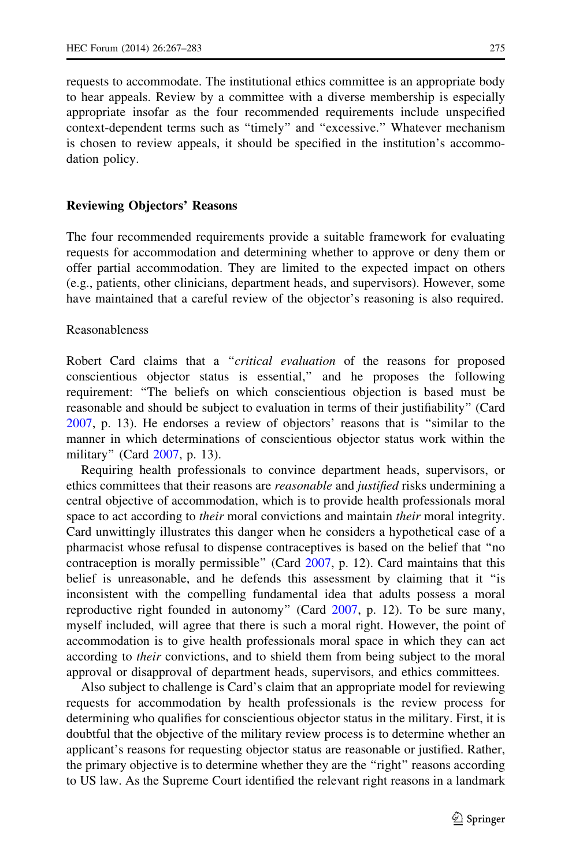requests to accommodate. The institutional ethics committee is an appropriate body to hear appeals. Review by a committee with a diverse membership is especially appropriate insofar as the four recommended requirements include unspecified context-dependent terms such as ''timely'' and ''excessive.'' Whatever mechanism is chosen to review appeals, it should be specified in the institution's accommodation policy.

## Reviewing Objectors' Reasons

The four recommended requirements provide a suitable framework for evaluating requests for accommodation and determining whether to approve or deny them or offer partial accommodation. They are limited to the expected impact on others (e.g., patients, other clinicians, department heads, and supervisors). However, some have maintained that a careful review of the objector's reasoning is also required.

### Reasonableness

Robert Card claims that a "critical evaluation of the reasons for proposed conscientious objector status is essential,'' and he proposes the following requirement: ''The beliefs on which conscientious objection is based must be reasonable and should be subject to evaluation in terms of their justifiability'' (Card 2007, p. 13). He endorses a review of objectors' reasons that is ''similar to the manner in which determinations of conscientious objector status work within the military'' (Card 2007, p. 13).

Requiring health professionals to convince department heads, supervisors, or ethics committees that their reasons are *reasonable* and *justified* risks undermining a central objective of accommodation, which is to provide health professionals moral space to act according to *their* moral convictions and maintain *their* moral integrity. Card unwittingly illustrates this danger when he considers a hypothetical case of a pharmacist whose refusal to dispense contraceptives is based on the belief that ''no contraception is morally permissible'' (Card 2007, p. 12). Card maintains that this belief is unreasonable, and he defends this assessment by claiming that it ''is inconsistent with the compelling fundamental idea that adults possess a moral reproductive right founded in autonomy" (Card  $2007$ , p. 12). To be sure many, myself included, will agree that there is such a moral right. However, the point of accommodation is to give health professionals moral space in which they can act according to *their* convictions, and to shield them from being subject to the moral approval or disapproval of department heads, supervisors, and ethics committees.

Also subject to challenge is Card's claim that an appropriate model for reviewing requests for accommodation by health professionals is the review process for determining who qualifies for conscientious objector status in the military. First, it is doubtful that the objective of the military review process is to determine whether an applicant's reasons for requesting objector status are reasonable or justified. Rather, the primary objective is to determine whether they are the ''right'' reasons according to US law. As the Supreme Court identified the relevant right reasons in a landmark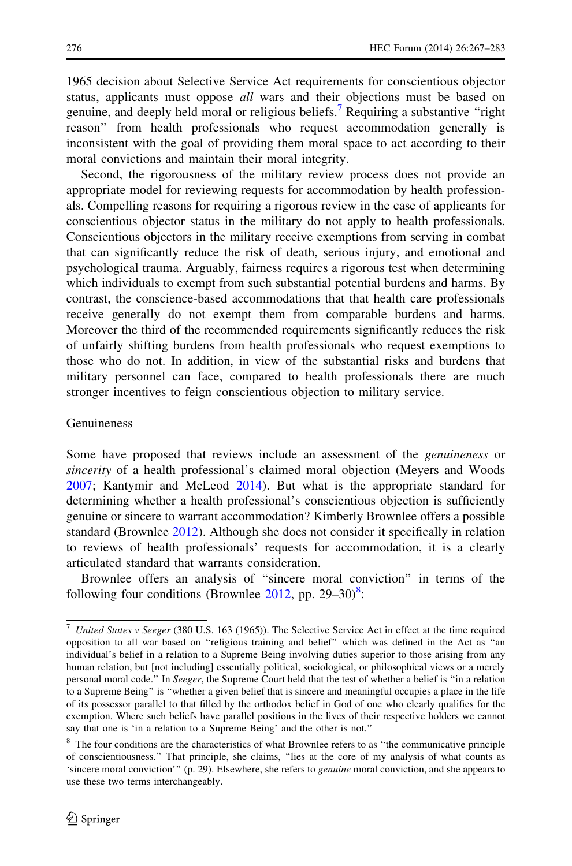1965 decision about Selective Service Act requirements for conscientious objector status, applicants must oppose all wars and their objections must be based on genuine, and deeply held moral or religious beliefs.<sup>7</sup> Requiring a substantive "right reason'' from health professionals who request accommodation generally is inconsistent with the goal of providing them moral space to act according to their moral convictions and maintain their moral integrity.

Second, the rigorousness of the military review process does not provide an appropriate model for reviewing requests for accommodation by health professionals. Compelling reasons for requiring a rigorous review in the case of applicants for conscientious objector status in the military do not apply to health professionals. Conscientious objectors in the military receive exemptions from serving in combat that can significantly reduce the risk of death, serious injury, and emotional and psychological trauma. Arguably, fairness requires a rigorous test when determining which individuals to exempt from such substantial potential burdens and harms. By contrast, the conscience-based accommodations that that health care professionals receive generally do not exempt them from comparable burdens and harms. Moreover the third of the recommended requirements significantly reduces the risk of unfairly shifting burdens from health professionals who request exemptions to those who do not. In addition, in view of the substantial risks and burdens that military personnel can face, compared to health professionals there are much stronger incentives to feign conscientious objection to military service.

### Genuineness

Some have proposed that reviews include an assessment of the genuineness or sincerity of a health professional's claimed moral objection (Meyers and Woods 2007; Kantymir and McLeod 2014). But what is the appropriate standard for determining whether a health professional's conscientious objection is sufficiently genuine or sincere to warrant accommodation? Kimberly Brownlee offers a possible standard (Brownlee 2012). Although she does not consider it specifically in relation to reviews of health professionals' requests for accommodation, it is a clearly articulated standard that warrants consideration.

Brownlee offers an analysis of ''sincere moral conviction'' in terms of the following four conditions (Brownlee 2012, pp. 29–30)<sup>8</sup>:

 $7$  United States v Seeger (380 U.S. 163 (1965)). The Selective Service Act in effect at the time required opposition to all war based on ''religious training and belief'' which was defined in the Act as ''an individual's belief in a relation to a Supreme Being involving duties superior to those arising from any human relation, but [not including] essentially political, sociological, or philosophical views or a merely personal moral code." In Seeger, the Supreme Court held that the test of whether a belief is "in a relation to a Supreme Being'' is ''whether a given belief that is sincere and meaningful occupies a place in the life of its possessor parallel to that filled by the orthodox belief in God of one who clearly qualifies for the exemption. Where such beliefs have parallel positions in the lives of their respective holders we cannot say that one is 'in a relation to a Supreme Being' and the other is not.''

<sup>&</sup>lt;sup>8</sup> The four conditions are the characteristics of what Brownlee refers to as "the communicative principle of conscientiousness.'' That principle, she claims, ''lies at the core of my analysis of what counts as 'sincere moral conviction''' (p. 29). Elsewhere, she refers to genuine moral conviction, and she appears to use these two terms interchangeably.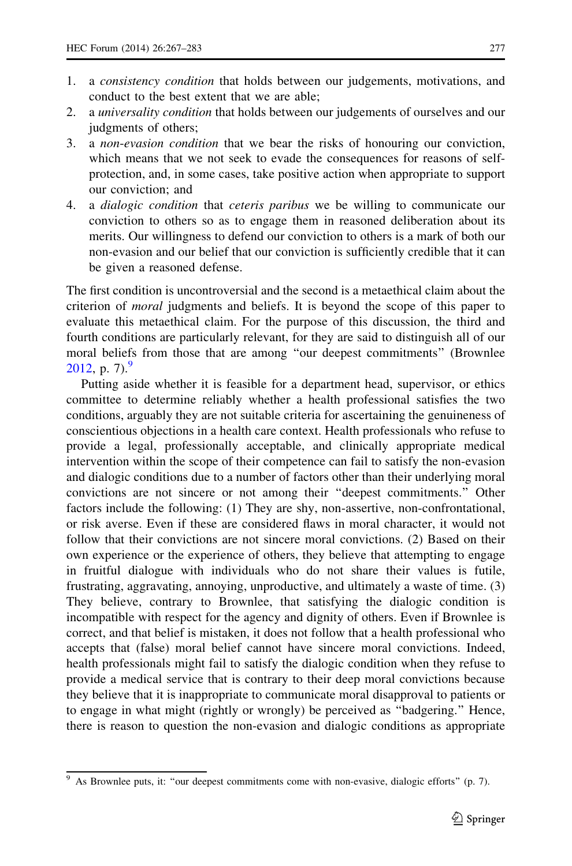- 1. a consistency condition that holds between our judgements, motivations, and conduct to the best extent that we are able;
- 2. a universality condition that holds between our judgements of ourselves and our judgments of others;
- 3. a non-evasion condition that we bear the risks of honouring our conviction, which means that we not seek to evade the consequences for reasons of selfprotection, and, in some cases, take positive action when appropriate to support our conviction; and
- 4. a dialogic condition that ceteris paribus we be willing to communicate our conviction to others so as to engage them in reasoned deliberation about its merits. Our willingness to defend our conviction to others is a mark of both our non-evasion and our belief that our conviction is sufficiently credible that it can be given a reasoned defense.

The first condition is uncontroversial and the second is a metaethical claim about the criterion of moral judgments and beliefs. It is beyond the scope of this paper to evaluate this metaethical claim. For the purpose of this discussion, the third and fourth conditions are particularly relevant, for they are said to distinguish all of our moral beliefs from those that are among ''our deepest commitments'' (Brownlee 2012, p. 7).

Putting aside whether it is feasible for a department head, supervisor, or ethics committee to determine reliably whether a health professional satisfies the two conditions, arguably they are not suitable criteria for ascertaining the genuineness of conscientious objections in a health care context. Health professionals who refuse to provide a legal, professionally acceptable, and clinically appropriate medical intervention within the scope of their competence can fail to satisfy the non-evasion and dialogic conditions due to a number of factors other than their underlying moral convictions are not sincere or not among their ''deepest commitments.'' Other factors include the following: (1) They are shy, non-assertive, non-confrontational, or risk averse. Even if these are considered flaws in moral character, it would not follow that their convictions are not sincere moral convictions. (2) Based on their own experience or the experience of others, they believe that attempting to engage in fruitful dialogue with individuals who do not share their values is futile, frustrating, aggravating, annoying, unproductive, and ultimately a waste of time. (3) They believe, contrary to Brownlee, that satisfying the dialogic condition is incompatible with respect for the agency and dignity of others. Even if Brownlee is correct, and that belief is mistaken, it does not follow that a health professional who accepts that (false) moral belief cannot have sincere moral convictions. Indeed, health professionals might fail to satisfy the dialogic condition when they refuse to provide a medical service that is contrary to their deep moral convictions because they believe that it is inappropriate to communicate moral disapproval to patients or to engage in what might (rightly or wrongly) be perceived as ''badgering.'' Hence, there is reason to question the non-evasion and dialogic conditions as appropriate

<sup>&</sup>lt;sup>9</sup> As Brownlee puts, it: "our deepest commitments come with non-evasive, dialogic efforts" (p. 7).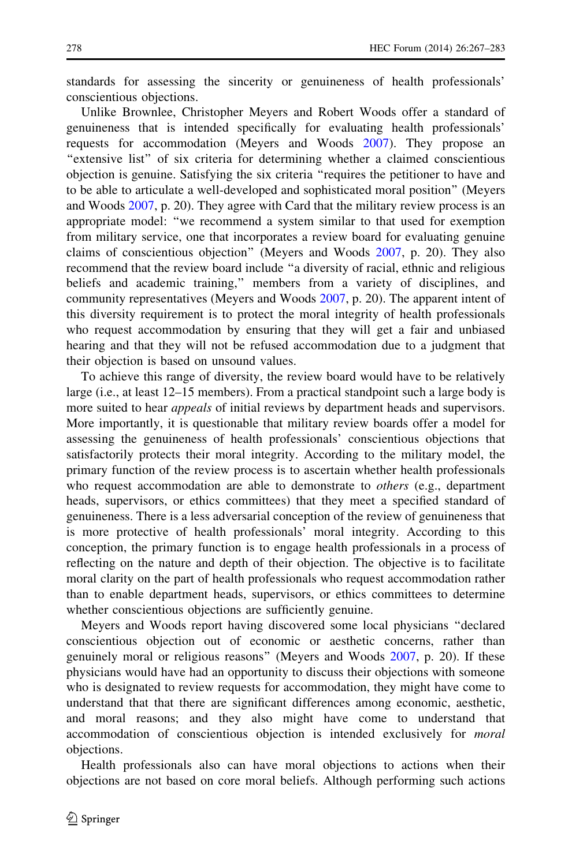standards for assessing the sincerity or genuineness of health professionals' conscientious objections.

Unlike Brownlee, Christopher Meyers and Robert Woods offer a standard of genuineness that is intended specifically for evaluating health professionals' requests for accommodation (Meyers and Woods 2007). They propose an ''extensive list'' of six criteria for determining whether a claimed conscientious objection is genuine. Satisfying the six criteria ''requires the petitioner to have and to be able to articulate a well-developed and sophisticated moral position'' (Meyers and Woods 2007, p. 20). They agree with Card that the military review process is an appropriate model: ''we recommend a system similar to that used for exemption from military service, one that incorporates a review board for evaluating genuine claims of conscientious objection'' (Meyers and Woods 2007, p. 20). They also recommend that the review board include ''a diversity of racial, ethnic and religious beliefs and academic training,'' members from a variety of disciplines, and community representatives (Meyers and Woods 2007, p. 20). The apparent intent of this diversity requirement is to protect the moral integrity of health professionals who request accommodation by ensuring that they will get a fair and unbiased hearing and that they will not be refused accommodation due to a judgment that their objection is based on unsound values.

To achieve this range of diversity, the review board would have to be relatively large (i.e., at least 12–15 members). From a practical standpoint such a large body is more suited to hear *appeals* of initial reviews by department heads and supervisors. More importantly, it is questionable that military review boards offer a model for assessing the genuineness of health professionals' conscientious objections that satisfactorily protects their moral integrity. According to the military model, the primary function of the review process is to ascertain whether health professionals who request accommodation are able to demonstrate to *others* (e.g., department heads, supervisors, or ethics committees) that they meet a specified standard of genuineness. There is a less adversarial conception of the review of genuineness that is more protective of health professionals' moral integrity. According to this conception, the primary function is to engage health professionals in a process of reflecting on the nature and depth of their objection. The objective is to facilitate moral clarity on the part of health professionals who request accommodation rather than to enable department heads, supervisors, or ethics committees to determine whether conscientious objections are sufficiently genuine.

Meyers and Woods report having discovered some local physicians ''declared conscientious objection out of economic or aesthetic concerns, rather than genuinely moral or religious reasons'' (Meyers and Woods 2007, p. 20). If these physicians would have had an opportunity to discuss their objections with someone who is designated to review requests for accommodation, they might have come to understand that that there are significant differences among economic, aesthetic, and moral reasons; and they also might have come to understand that accommodation of conscientious objection is intended exclusively for moral objections.

Health professionals also can have moral objections to actions when their objections are not based on core moral beliefs. Although performing such actions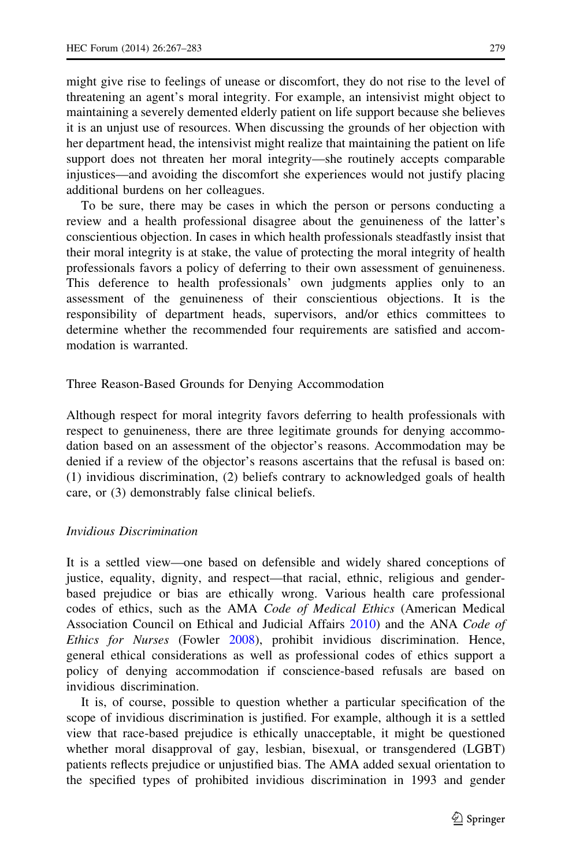might give rise to feelings of unease or discomfort, they do not rise to the level of threatening an agent's moral integrity. For example, an intensivist might object to maintaining a severely demented elderly patient on life support because she believes it is an unjust use of resources. When discussing the grounds of her objection with her department head, the intensivist might realize that maintaining the patient on life support does not threaten her moral integrity—she routinely accepts comparable injustices—and avoiding the discomfort she experiences would not justify placing additional burdens on her colleagues.

To be sure, there may be cases in which the person or persons conducting a review and a health professional disagree about the genuineness of the latter's conscientious objection. In cases in which health professionals steadfastly insist that their moral integrity is at stake, the value of protecting the moral integrity of health professionals favors a policy of deferring to their own assessment of genuineness. This deference to health professionals' own judgments applies only to an assessment of the genuineness of their conscientious objections. It is the responsibility of department heads, supervisors, and/or ethics committees to determine whether the recommended four requirements are satisfied and accommodation is warranted.

## Three Reason-Based Grounds for Denying Accommodation

Although respect for moral integrity favors deferring to health professionals with respect to genuineness, there are three legitimate grounds for denying accommodation based on an assessment of the objector's reasons. Accommodation may be denied if a review of the objector's reasons ascertains that the refusal is based on: (1) invidious discrimination, (2) beliefs contrary to acknowledged goals of health care, or (3) demonstrably false clinical beliefs.

## Invidious Discrimination

It is a settled view—one based on defensible and widely shared conceptions of justice, equality, dignity, and respect—that racial, ethnic, religious and genderbased prejudice or bias are ethically wrong. Various health care professional codes of ethics, such as the AMA Code of Medical Ethics (American Medical Association Council on Ethical and Judicial Affairs 2010) and the ANA Code of Ethics for Nurses (Fowler 2008), prohibit invidious discrimination. Hence, general ethical considerations as well as professional codes of ethics support a policy of denying accommodation if conscience-based refusals are based on invidious discrimination.

It is, of course, possible to question whether a particular specification of the scope of invidious discrimination is justified. For example, although it is a settled view that race-based prejudice is ethically unacceptable, it might be questioned whether moral disapproval of gay, lesbian, bisexual, or transgendered (LGBT) patients reflects prejudice or unjustified bias. The AMA added sexual orientation to the specified types of prohibited invidious discrimination in 1993 and gender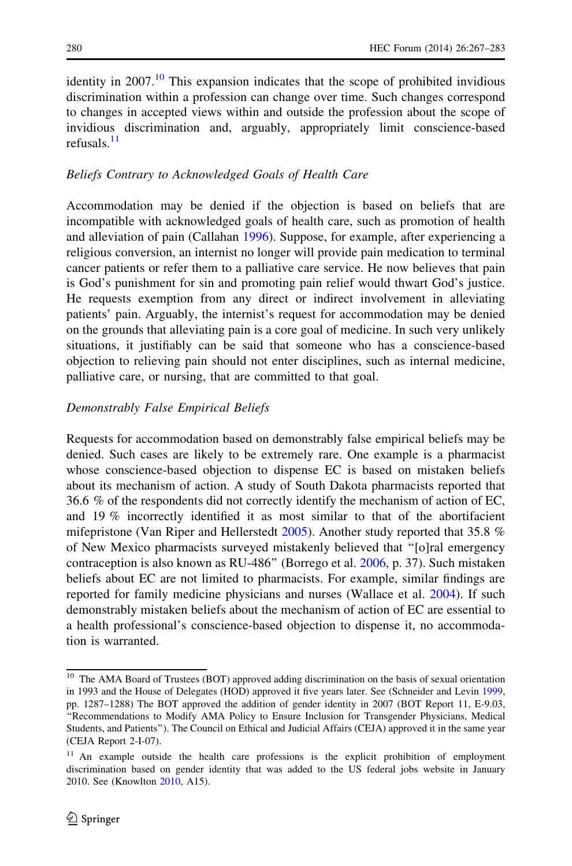identity in  $2007<sup>10</sup>$  This expansion indicates that the scope of prohibited invidious discrimination within a profession can change over time. Such changes correspond to changes in accepted views within and outside the profession about the scope of invidious discrimination and, arguably, appropriately limit conscience-based refusals.<sup>11</sup>

## Beliefs Contrary to Acknowledged Goals of Health Care

Accommodation may be denied if the objection is based on beliefs that are incompatible with acknowledged goals of health care, such as promotion of health and alleviation of pain (Callahan 1996). Suppose, for example, after experiencing a religious conversion, an internist no longer will provide pain medication to terminal cancer patients or refer them to a palliative care service. He now believes that pain is God's punishment for sin and promoting pain relief would thwart God's justice. He requests exemption from any direct or indirect involvement in alleviating patients' pain. Arguably, the internist's request for accommodation may be denied on the grounds that alleviating pain is a core goal of medicine. In such very unlikely situations, it justifiably can be said that someone who has a conscience-based objection to relieving pain should not enter disciplines, such as internal medicine, palliative care, or nursing, that are committed to that goal.

## Demonstrably False Empirical Beliefs

Requests for accommodation based on demonstrably false empirical beliefs may be denied. Such cases are likely to be extremely rare. One example is a pharmacist whose conscience-based objection to dispense EC is based on mistaken beliefs about its mechanism of action. A study of South Dakota pharmacists reported that 36.6 % of the respondents did not correctly identify the mechanism of action of EC, and 19 % incorrectly identified it as most similar to that of the abortifacient mifepristone (Van Riper and Hellerstedt 2005). Another study reported that 35.8 % of New Mexico pharmacists surveyed mistakenly believed that ''[o]ral emergency contraception is also known as RU-486'' (Borrego et al. 2006, p. 37). Such mistaken beliefs about EC are not limited to pharmacists. For example, similar findings are reported for family medicine physicians and nurses (Wallace et al. 2004). If such demonstrably mistaken beliefs about the mechanism of action of EC are essential to a health professional's conscience-based objection to dispense it, no accommodation is warranted.

<sup>&</sup>lt;sup>10</sup> The AMA Board of Trustees (BOT) approved adding discrimination on the basis of sexual orientation in 1993 and the House of Delegates (HOD) approved it five years later. See (Schneider and Levin 1999, pp. 1287–1288) The BOT approved the addition of gender identity in 2007 (BOT Report 11, E-9.03, ''Recommendations to Modify AMA Policy to Ensure Inclusion for Transgender Physicians, Medical Students, and Patients''). The Council on Ethical and Judicial Affairs (CEJA) approved it in the same year (CEJA Report 2-I-07).

<sup>&</sup>lt;sup>11</sup> An example outside the health care professions is the explicit prohibition of employment discrimination based on gender identity that was added to the US federal jobs website in January 2010. See (Knowlton 2010, A15).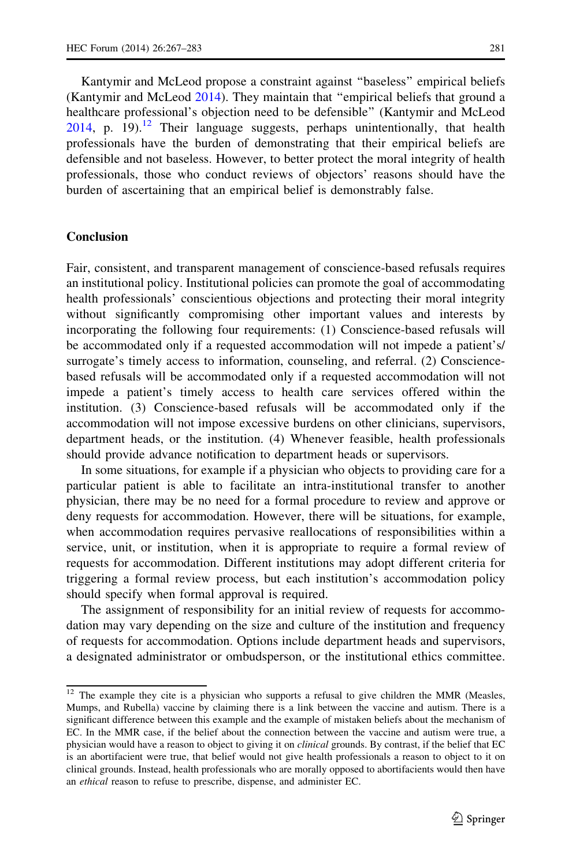Kantymir and McLeod propose a constraint against ''baseless'' empirical beliefs (Kantymir and McLeod 2014). They maintain that ''empirical beliefs that ground a healthcare professional's objection need to be defensible'' (Kantymir and McLeod  $2014$ , p. 19).<sup>12</sup> Their language suggests, perhaps unintentionally, that health professionals have the burden of demonstrating that their empirical beliefs are defensible and not baseless. However, to better protect the moral integrity of health professionals, those who conduct reviews of objectors' reasons should have the burden of ascertaining that an empirical belief is demonstrably false.

#### Conclusion

Fair, consistent, and transparent management of conscience-based refusals requires an institutional policy. Institutional policies can promote the goal of accommodating health professionals' conscientious objections and protecting their moral integrity without significantly compromising other important values and interests by incorporating the following four requirements: (1) Conscience-based refusals will be accommodated only if a requested accommodation will not impede a patient's/ surrogate's timely access to information, counseling, and referral. (2) Consciencebased refusals will be accommodated only if a requested accommodation will not impede a patient's timely access to health care services offered within the institution. (3) Conscience-based refusals will be accommodated only if the accommodation will not impose excessive burdens on other clinicians, supervisors, department heads, or the institution. (4) Whenever feasible, health professionals should provide advance notification to department heads or supervisors.

In some situations, for example if a physician who objects to providing care for a particular patient is able to facilitate an intra-institutional transfer to another physician, there may be no need for a formal procedure to review and approve or deny requests for accommodation. However, there will be situations, for example, when accommodation requires pervasive reallocations of responsibilities within a service, unit, or institution, when it is appropriate to require a formal review of requests for accommodation. Different institutions may adopt different criteria for triggering a formal review process, but each institution's accommodation policy should specify when formal approval is required.

The assignment of responsibility for an initial review of requests for accommodation may vary depending on the size and culture of the institution and frequency of requests for accommodation. Options include department heads and supervisors, a designated administrator or ombudsperson, or the institutional ethics committee.

 $12$  The example they cite is a physician who supports a refusal to give children the MMR (Measles, Mumps, and Rubella) vaccine by claiming there is a link between the vaccine and autism. There is a significant difference between this example and the example of mistaken beliefs about the mechanism of EC. In the MMR case, if the belief about the connection between the vaccine and autism were true, a physician would have a reason to object to giving it on *clinical* grounds. By contrast, if the belief that EC is an abortifacient were true, that belief would not give health professionals a reason to object to it on clinical grounds. Instead, health professionals who are morally opposed to abortifacients would then have an ethical reason to refuse to prescribe, dispense, and administer EC.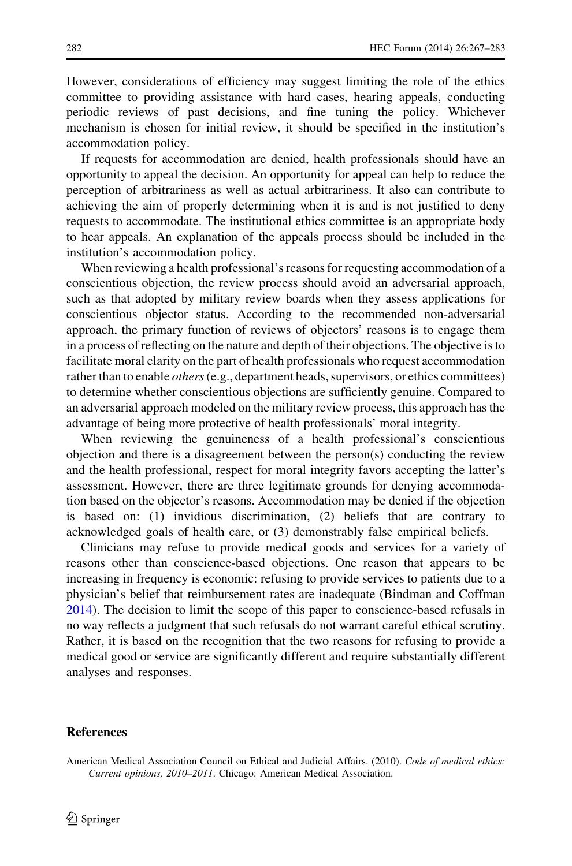However, considerations of efficiency may suggest limiting the role of the ethics committee to providing assistance with hard cases, hearing appeals, conducting periodic reviews of past decisions, and fine tuning the policy. Whichever mechanism is chosen for initial review, it should be specified in the institution's accommodation policy.

If requests for accommodation are denied, health professionals should have an opportunity to appeal the decision. An opportunity for appeal can help to reduce the perception of arbitrariness as well as actual arbitrariness. It also can contribute to achieving the aim of properly determining when it is and is not justified to deny requests to accommodate. The institutional ethics committee is an appropriate body to hear appeals. An explanation of the appeals process should be included in the institution's accommodation policy.

When reviewing a health professional's reasons for requesting accommodation of a conscientious objection, the review process should avoid an adversarial approach, such as that adopted by military review boards when they assess applications for conscientious objector status. According to the recommended non-adversarial approach, the primary function of reviews of objectors' reasons is to engage them in a process of reflecting on the nature and depth of their objections. The objective is to facilitate moral clarity on the part of health professionals who request accommodation rather than to enable *others* (e.g., department heads, supervisors, or ethics committees) to determine whether conscientious objections are sufficiently genuine. Compared to an adversarial approach modeled on the military review process, this approach has the advantage of being more protective of health professionals' moral integrity.

When reviewing the genuineness of a health professional's conscientious objection and there is a disagreement between the person(s) conducting the review and the health professional, respect for moral integrity favors accepting the latter's assessment. However, there are three legitimate grounds for denying accommodation based on the objector's reasons. Accommodation may be denied if the objection is based on: (1) invidious discrimination, (2) beliefs that are contrary to acknowledged goals of health care, or (3) demonstrably false empirical beliefs.

Clinicians may refuse to provide medical goods and services for a variety of reasons other than conscience-based objections. One reason that appears to be increasing in frequency is economic: refusing to provide services to patients due to a physician's belief that reimbursement rates are inadequate (Bindman and Coffman 2014). The decision to limit the scope of this paper to conscience-based refusals in no way reflects a judgment that such refusals do not warrant careful ethical scrutiny. Rather, it is based on the recognition that the two reasons for refusing to provide a medical good or service are significantly different and require substantially different analyses and responses.

#### References

American Medical Association Council on Ethical and Judicial Affairs. (2010). Code of medical ethics: Current opinions, 2010–2011. Chicago: American Medical Association.